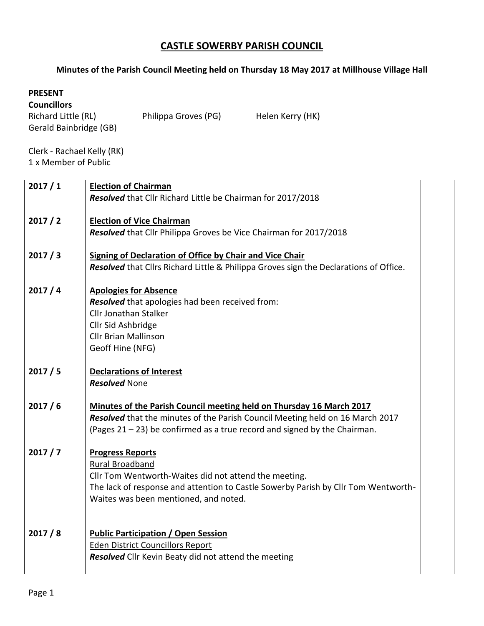## **CASTLE SOWERBY PARISH COUNCIL**

## **Minutes of the Parish Council Meeting held on Thursday 18 May 2017 at Millhouse Village Hall**

## **PRESENT**

## **Councillors**

Gerald Bainbridge (GB)

Richard Little (RL) Philippa Groves (PG) Helen Kerry (HK)

Clerk - Rachael Kelly (RK) 1 x Member of Public

| 2017/1 | <b>Election of Chairman</b>                                                                                                                              |  |
|--------|----------------------------------------------------------------------------------------------------------------------------------------------------------|--|
|        | Resolved that Cllr Richard Little be Chairman for 2017/2018                                                                                              |  |
| 2017/2 | <b>Election of Vice Chairman</b>                                                                                                                         |  |
|        | Resolved that Cllr Philippa Groves be Vice Chairman for 2017/2018                                                                                        |  |
|        |                                                                                                                                                          |  |
| 2017/3 | <b>Signing of Declaration of Office by Chair and Vice Chair</b><br>Resolved that Cllrs Richard Little & Philippa Groves sign the Declarations of Office. |  |
|        |                                                                                                                                                          |  |
| 2017/4 | <b>Apologies for Absence</b>                                                                                                                             |  |
|        | Resolved that apologies had been received from:                                                                                                          |  |
|        | <b>Cllr Jonathan Stalker</b><br>Cllr Sid Ashbridge                                                                                                       |  |
|        | <b>Cllr Brian Mallinson</b>                                                                                                                              |  |
|        | Geoff Hine (NFG)                                                                                                                                         |  |
|        |                                                                                                                                                          |  |
| 2017/5 | <b>Declarations of Interest</b><br><b>Resolved None</b>                                                                                                  |  |
|        |                                                                                                                                                          |  |
| 2017/6 | Minutes of the Parish Council meeting held on Thursday 16 March 2017                                                                                     |  |
|        | Resolved that the minutes of the Parish Council Meeting held on 16 March 2017                                                                            |  |
|        | (Pages $21 - 23$ ) be confirmed as a true record and signed by the Chairman.                                                                             |  |
| 2017/7 | <b>Progress Reports</b>                                                                                                                                  |  |
|        | <b>Rural Broadband</b>                                                                                                                                   |  |
|        | Cllr Tom Wentworth-Waites did not attend the meeting.                                                                                                    |  |
|        | The lack of response and attention to Castle Sowerby Parish by Cllr Tom Wentworth-<br>Waites was been mentioned, and noted.                              |  |
|        |                                                                                                                                                          |  |
|        |                                                                                                                                                          |  |
| 2017/8 | <b>Public Participation / Open Session</b>                                                                                                               |  |
|        | <b>Eden District Councillors Report</b><br>Resolved Cllr Kevin Beaty did not attend the meeting                                                          |  |
|        |                                                                                                                                                          |  |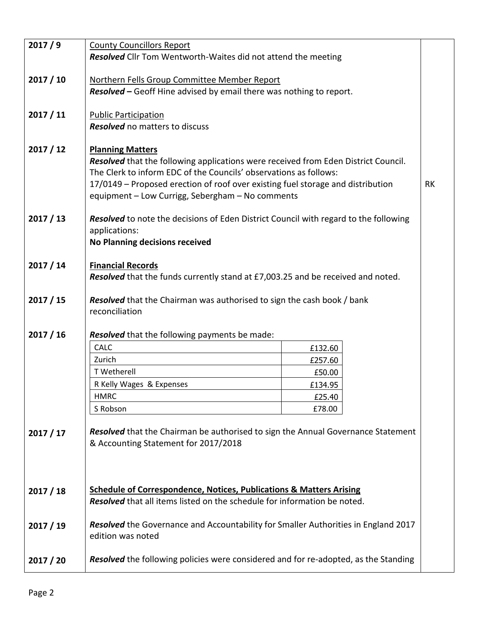| 2017/9    | <b>County Councillors Report</b>                                                                        |         |  |  |  |
|-----------|---------------------------------------------------------------------------------------------------------|---------|--|--|--|
|           | Resolved Cllr Tom Wentworth-Waites did not attend the meeting                                           |         |  |  |  |
|           |                                                                                                         |         |  |  |  |
| 2017/10   | Northern Fells Group Committee Member Report                                                            |         |  |  |  |
|           | Resolved - Geoff Hine advised by email there was nothing to report.                                     |         |  |  |  |
|           |                                                                                                         |         |  |  |  |
| 2017 / 11 | <b>Public Participation</b>                                                                             |         |  |  |  |
|           | <b>Resolved</b> no matters to discuss                                                                   |         |  |  |  |
| 2017/12   | <b>Planning Matters</b>                                                                                 |         |  |  |  |
|           | Resolved that the following applications were received from Eden District Council.                      |         |  |  |  |
|           | The Clerk to inform EDC of the Councils' observations as follows:                                       |         |  |  |  |
|           | 17/0149 - Proposed erection of roof over existing fuel storage and distribution<br><b>RK</b>            |         |  |  |  |
|           | equipment - Low Currigg, Sebergham - No comments                                                        |         |  |  |  |
|           |                                                                                                         |         |  |  |  |
| 2017 / 13 | <b>Resolved</b> to note the decisions of Eden District Council with regard to the following             |         |  |  |  |
|           | applications:                                                                                           |         |  |  |  |
|           | No Planning decisions received                                                                          |         |  |  |  |
| 2017 / 14 | <b>Financial Records</b>                                                                                |         |  |  |  |
|           | Resolved that the funds currently stand at £7,003.25 and be received and noted.                         |         |  |  |  |
|           |                                                                                                         |         |  |  |  |
| 2017 / 15 | <b>Resolved</b> that the Chairman was authorised to sign the cash book / bank                           |         |  |  |  |
|           | reconciliation                                                                                          |         |  |  |  |
|           |                                                                                                         |         |  |  |  |
| 2017 / 16 | Resolved that the following payments be made:                                                           |         |  |  |  |
|           | CALC                                                                                                    | £132.60 |  |  |  |
|           | Zurich                                                                                                  | £257.60 |  |  |  |
|           | T Wetherell                                                                                             | £50.00  |  |  |  |
|           | R Kelly Wages & Expenses                                                                                | £134.95 |  |  |  |
|           | <b>HMRC</b>                                                                                             | £25.40  |  |  |  |
|           | S Robson                                                                                                | £78.00  |  |  |  |
| 2017 / 17 | Resolved that the Chairman be authorised to sign the Annual Governance Statement                        |         |  |  |  |
|           | & Accounting Statement for 2017/2018                                                                    |         |  |  |  |
|           |                                                                                                         |         |  |  |  |
|           |                                                                                                         |         |  |  |  |
|           |                                                                                                         |         |  |  |  |
| 2017 / 18 | <b>Schedule of Correspondence, Notices, Publications &amp; Matters Arising</b>                          |         |  |  |  |
|           | Resolved that all items listed on the schedule for information be noted.                                |         |  |  |  |
|           |                                                                                                         |         |  |  |  |
| 2017 / 19 | Resolved the Governance and Accountability for Smaller Authorities in England 2017<br>edition was noted |         |  |  |  |
|           |                                                                                                         |         |  |  |  |
| 2017 / 20 | <b>Resolved</b> the following policies were considered and for re-adopted, as the Standing              |         |  |  |  |
|           |                                                                                                         |         |  |  |  |